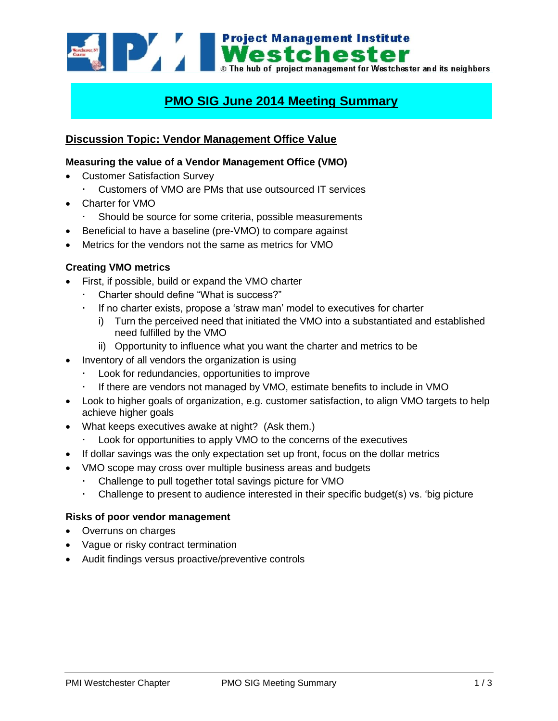

# **PMO SIG June 2014 Meeting Summary**

# **Discussion Topic: Vendor Management Office Value**

### **Measuring the value of a Vendor Management Office (VMO)**

- Customer Satisfaction Survey
	- Customers of VMO are PMs that use outsourced IT services
- Charter for VMO
	- Should be source for some criteria, possible measurements
- Beneficial to have a baseline (pre-VMO) to compare against
- Metrics for the vendors not the same as metrics for VMO

#### **Creating VMO metrics**

- First, if possible, build or expand the VMO charter
	- Charter should define "What is success?"
	- If no charter exists, propose a 'straw man' model to executives for charter
		- i) Turn the perceived need that initiated the VMO into a substantiated and established need fulfilled by the VMO
		- ii) Opportunity to influence what you want the charter and metrics to be
- Inventory of all vendors the organization is using
	- Look for redundancies, opportunities to improve
	- If there are vendors not managed by VMO, estimate benefits to include in VMO
- Look to higher goals of organization, e.g. customer satisfaction, to align VMO targets to help achieve higher goals
- What keeps executives awake at night? (Ask them.)
	- Look for opportunities to apply VMO to the concerns of the executives
- If dollar savings was the only expectation set up front, focus on the dollar metrics
- VMO scope may cross over multiple business areas and budgets
	- Challenge to pull together total savings picture for VMO
	- Challenge to present to audience interested in their specific budget(s) vs. 'big picture

#### **Risks of poor vendor management**

- Overruns on charges
- Vague or risky contract termination
- Audit findings versus proactive/preventive controls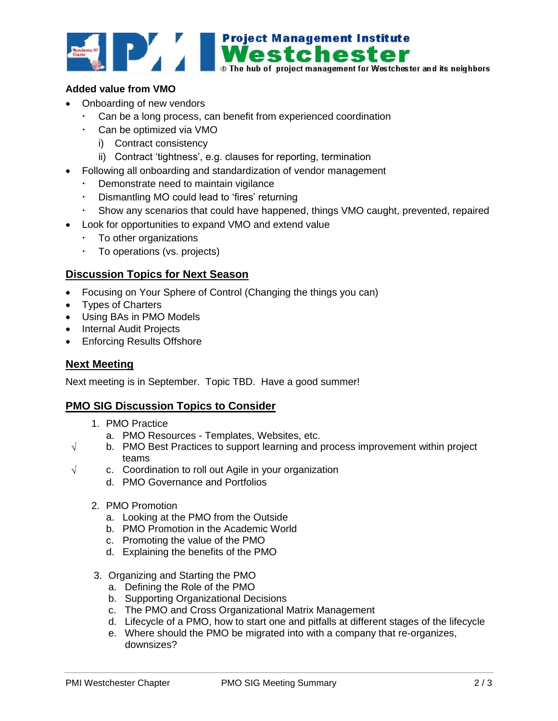

## **Added value from VMO**

- Onboarding of new vendors
	- Can be a long process, can benefit from experienced coordination
	- Can be optimized via VMO
		- i) Contract consistency
		- ii) Contract 'tightness', e.g. clauses for reporting, termination
- Following all onboarding and standardization of vendor management
	- Demonstrate need to maintain vigilance
	- Dismantling MO could lead to 'fires' returning
	- Show any scenarios that could have happened, things VMO caught, prevented, repaired
- Look for opportunities to expand VMO and extend value
	- $\cdot$  To other organizations
	- To operations (vs. projects)

# **Discussion Topics for Next Season**

- Focusing on Your Sphere of Control (Changing the things you can)
- Types of Charters
- Using BAs in PMO Models
- Internal Audit Projects
- Enforcing Results Offshore

## **Next Meeting**

Next meeting is in September. Topic TBD. Have a good summer!

## **PMO SIG Discussion Topics to Consider**

- 1. PMO Practice
	- a. PMO Resources Templates, Websites, etc.
- $\sqrt{\phantom{a}}$  b. PMO Best Practices to support learning and process improvement within project teams
- $\sqrt{ }$  c. Coordination to roll out Agile in your organization
	- d. PMO Governance and Portfolios
	- 2. PMO Promotion
		- a. Looking at the PMO from the Outside
		- b. PMO Promotion in the Academic World
		- c. Promoting the value of the PMO
		- d. Explaining the benefits of the PMO
	- 3. Organizing and Starting the PMO
		- a. Defining the Role of the PMO
		- b. Supporting Organizational Decisions
		- c. The PMO and Cross Organizational Matrix Management
		- d. Lifecycle of a PMO, how to start one and pitfalls at different stages of the lifecycle
		- e. Where should the PMO be migrated into with a company that re-organizes, downsizes?